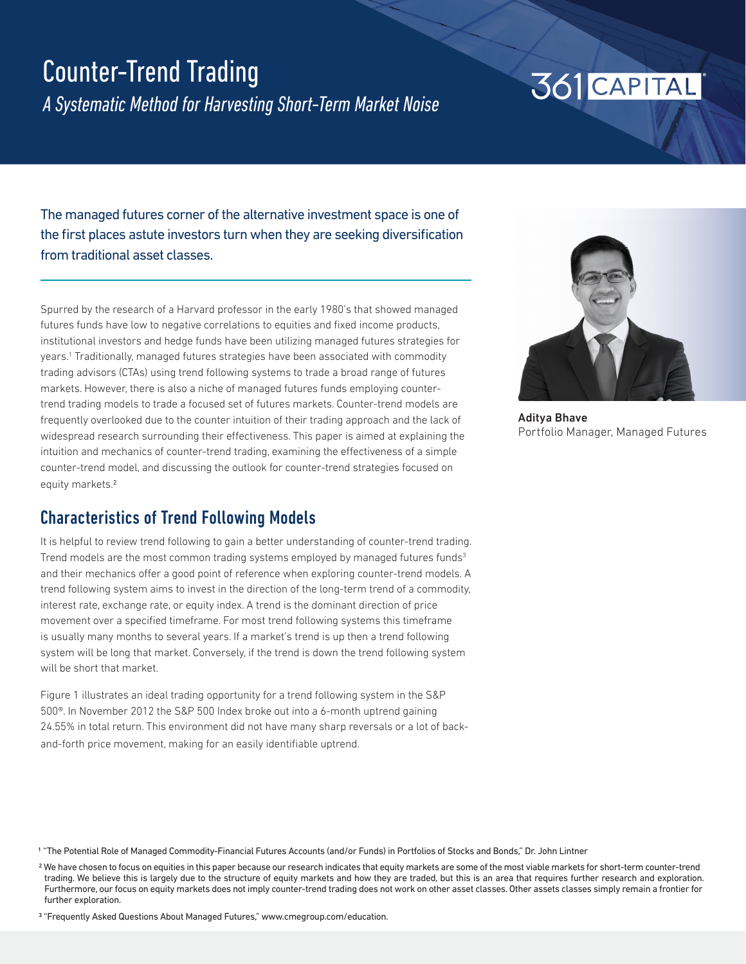## Counter-Trend Trading

*A Systematic Method for Harvesting Short-Term Market Noise*

## 361 CAPITAL

The managed futures corner of the alternative investment space is one of the first places astute investors turn when they are seeking diversification from traditional asset classes.

Spurred by the research of a Harvard professor in the early 1980's that showed managed futures funds have low to negative correlations to equities and fixed income products, institutional investors and hedge funds have been utilizing managed futures strategies for years.<sup>1</sup> Traditionally, managed futures strategies have been associated with commodity trading advisors (CTAs) using trend following systems to trade a broad range of futures markets. However, there is also a niche of managed futures funds employing countertrend trading models to trade a focused set of futures markets. Counter-trend models are frequently overlooked due to the counter intuition of their trading approach and the lack of widespread research surrounding their effectiveness. This paper is aimed at explaining the intuition and mechanics of counter-trend trading, examining the effectiveness of a simple counter-trend model, and discussing the outlook for counter-trend strategies focused on equity markets.2

### Characteristics of Trend Following Models

It is helpful to review trend following to gain a better understanding of counter-trend trading. Trend models are the most common trading systems employed by managed futures funds<sup>3</sup> and their mechanics offer a good point of reference when exploring counter-trend models. A trend following system aims to invest in the direction of the long-term trend of a commodity, interest rate, exchange rate, or equity index. A trend is the dominant direction of price movement over a specified timeframe. For most trend following systems this timeframe is usually many months to several years. If a market's trend is up then a trend following system will be long that market. Conversely, if the trend is down the trend following system will be short that market.

Figure 1 illustrates an ideal trading opportunity for a trend following system in the S&P 500®. In November 2012 the S&P 500 Index broke out into a 6-month uptrend gaining 24.55% in total return. This environment did not have many sharp reversals or a lot of backand-forth price movement, making for an easily identifiable uptrend.



Aditya Bhave Portfolio Manager, Managed Futures

1 "The Potential Role of Managed Commodity-Financial Futures Accounts (and/or Funds) in Portfolios of Stocks and Bonds," Dr. John Lintner

<sup>&</sup>lt;sup>2</sup> We have chosen to focus on equities in this paper because our research indicates that equity markets are some of the most viable markets for short-term counter-trend trading. We believe this is largely due to the structure of equity markets and how they are traded, but this is an area that requires further research and exploration. Furthermore, our focus on equity markets does not imply counter-trend trading does not work on other asset classes. Other assets classes simply remain a frontier for further exploration.

<sup>3 &</sup>quot;Frequently Asked Questions About Managed Futures," www.cmegroup.com/education.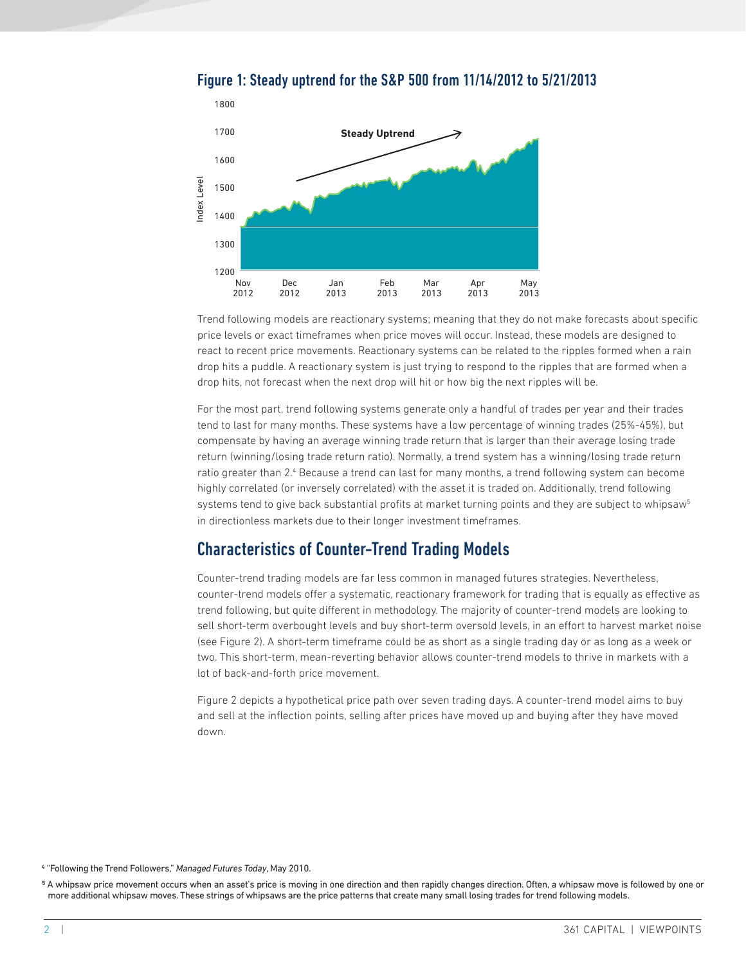

Figure 1: Steady uptrend for the S&P 500 from 11/14/2012 to 5/21/2013

Trend following models are reactionary systems; meaning that they do not make forecasts about specific price levels or exact timeframes when price moves will occur. Instead, these models are designed to react to recent price movements. Reactionary systems can be related to the ripples formed when a rain drop hits a puddle. A reactionary system is just trying to respond to the ripples that are formed when a drop hits, not forecast when the next drop will hit or how big the next ripples will be.

For the most part, trend following systems generate only a handful of trades per year and their trades tend to last for many months. These systems have a low percentage of winning trades (25%-45%), but compensate by having an average winning trade return that is larger than their average losing trade return (winning/losing trade return ratio). Normally, a trend system has a winning/losing trade return ratio greater than 2.4 Because a trend can last for many months, a trend following system can become highly correlated (or inversely correlated) with the asset it is traded on. Additionally, trend following systems tend to give back substantial profits at market turning points and they are subject to whipsaw<sup>5</sup> in directionless markets due to their longer investment timeframes. more additional which is a string of which which is a string of which is a string of trades for trades are the price patterns that create many systems can be the price patterns that create many small is the price patterns

## Characteristics of Counter-Trend Trading Models

Counter-trend trading models are far less common in managed futures strategies. Nevertheless, counter-trend models offer a systematic, reactionary framework for trading that is equally as effective as trend following, but quite different in methodology. The majority of counter-trend models are looking to sell short-term overbought levels and buy short-term oversold levels, in an effort to harvest market noise (see Figure 2). A short-term timeframe could be as short as a single trading day or as long as a week or two. This short-term, mean-reverting behavior allows counter-trend models to thrive in markets with a lot of back-and-forth price movement.

Figure 2 depicts a hypothetical price path over seven trading days. A counter-trend model aims to buy and sell at the inflection points, selling after prices have moved up and buying after they have moved down.

4 "Following the Trend Followers," *Managed Futures Today*, May 2010.

5 A whipsaw price movement occurs when an asset's price is moving in one direction and then rapidly changes direction. Often, a whipsaw move is followed by one or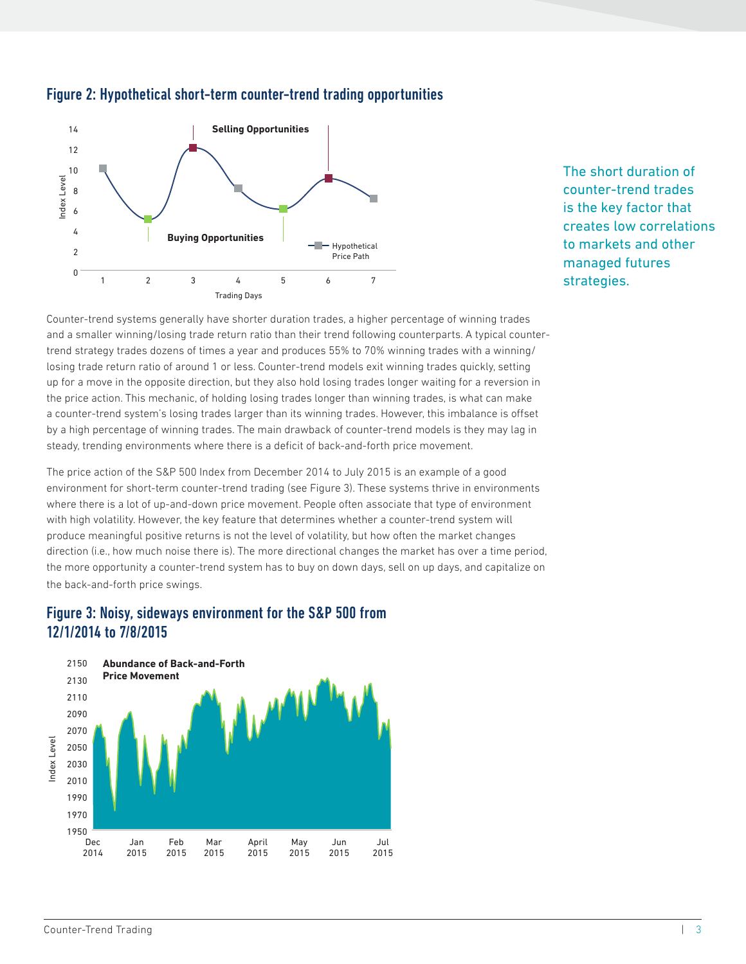

#### Figure 2: Hypothetical short-term counter-trend trading opportunities

The short duration of counter-trend trades is the key factor that creates low correlations to markets and other managed futures strategies.

Counter-trend systems generally have shorter duration trades, a higher percentage of winning trades and a smaller winning/losing trade return ratio than their trend following counterparts. A typical countertrend strategy trades dozens of times a year and produces 55% to 70% winning trades with a winning/ losing trade return ratio of around 1 or less. Counter-trend models exit winning trades quickly, setting up for a move in the opposite direction, but they also hold losing trades longer waiting for a reversion in the price action. This mechanic, of holding losing trades longer than winning trades, is what can make a counter-trend system's losing trades larger than its winning trades. However, this imbalance is offset by a high percentage of winning trades. The main drawback of counter-trend models is they may lag in steady, trending environments where there is a deficit of back-and-forth price movement. 12/1/2014 to 7/8/2015 Index Level

The price action of the S&P 500 Index from December 2014 to July 2015 is an example of a good environment for short-term counter-trend trading (see Figure 3). These systems thrive in environments where there is a lot of up-and-down price movement. People often associate that type of environment with high volatility. However, the key feature that determines whether a counter-trend system will produce meaningful positive returns is not the level of volatility, but how often the market changes direction (i.e., how much noise there is). The more directional changes the market has over a time period, the more opportunity a counter-trend system has to buy on down days, sell on up days, and capitalize on the back-and-forth price swings.

# Figure 3: Noisy, sideways environment for the S&P 500 from

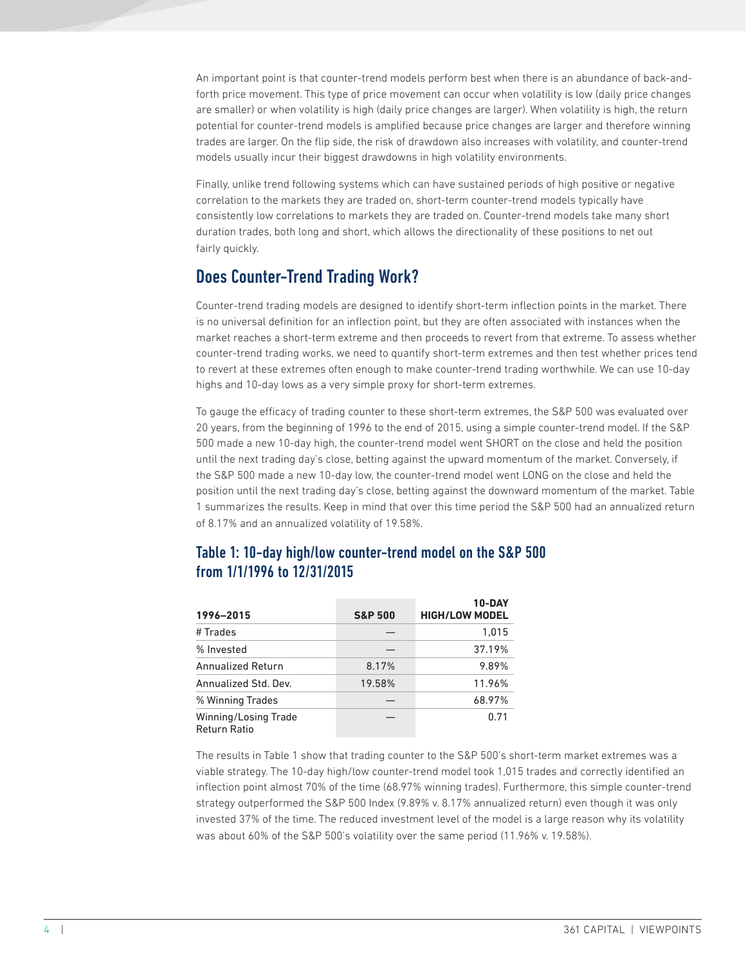An important point is that counter-trend models perform best when there is an abundance of back-andforth price movement. This type of price movement can occur when volatility is low (daily price changes are smaller) or when volatility is high (daily price changes are larger). When volatility is high, the return potential for counter-trend models is amplified because price changes are larger and therefore winning trades are larger. On the flip side, the risk of drawdown also increases with volatility, and counter-trend models usually incur their biggest drawdowns in high volatility environments.

Finally, unlike trend following systems which can have sustained periods of high positive or negative correlation to the markets they are traded on, short-term counter-trend models typically have consistently low correlations to markets they are traded on. Counter-trend models take many short duration trades, both long and short, which allows the directionality of these positions to net out fairly quickly.

## Does Counter-Trend Trading Work?

Counter-trend trading models are designed to identify short-term inflection points in the market. There is no universal definition for an inflection point, but they are often associated with instances when the market reaches a short-term extreme and then proceeds to revert from that extreme. To assess whether counter-trend trading works, we need to quantify short-term extremes and then test whether prices tend to revert at these extremes often enough to make counter-trend trading worthwhile. We can use 10-day highs and 10-day lows as a very simple proxy for short-term extremes.

To gauge the efficacy of trading counter to these short-term extremes, the S&P 500 was evaluated over 20 years, from the beginning of 1996 to the end of 2015, using a simple counter-trend model. If the S&P 500 made a new 10-day high, the counter-trend model went SHORT on the close and held the position until the next trading day's close, betting against the upward momentum of the market. Conversely, if the S&P 500 made a new 10-day low, the counter-trend model went LONG on the close and held the position until the next trading day's close, betting against the downward momentum of the market. Table 1 summarizes the results. Keep in mind that over this time period the S&P 500 had an annualized return of 8.17% and an annualized volatility of 19.58%.

#### Table 1: 10-day high/low counter-trend model on the S&P 500 from 1/1/1996 to 12/31/2015

| 1996-2015                                   | <b>S&amp;P 500</b> | 10-DAY<br><b>HIGH/LOW MODEL</b> |
|---------------------------------------------|--------------------|---------------------------------|
| # Trades                                    |                    | 1,015                           |
| % Invested                                  |                    | 37.19%                          |
| <b>Annualized Return</b>                    | 8.17%              | 9.89%                           |
| Annualized Std. Dev.                        | 19.58%             | 11.96%                          |
| % Winning Trades                            |                    | 68.97%                          |
| Winning/Losing Trade<br><b>Return Ratio</b> |                    | 0.71                            |

The results in Table 1 show that trading counter to the S&P 500's short-term market extremes was a viable strategy. The 10-day high/low counter-trend model took 1,015 trades and correctly identified an inflection point almost 70% of the time (68.97% winning trades). Furthermore, this simple counter-trend strategy outperformed the S&P 500 Index (9.89% v. 8.17% annualized return) even though it was only invested 37% of the time. The reduced investment level of the model is a large reason why its volatility was about 60% of the S&P 500's volatility over the same period (11.96% v. 19.58%).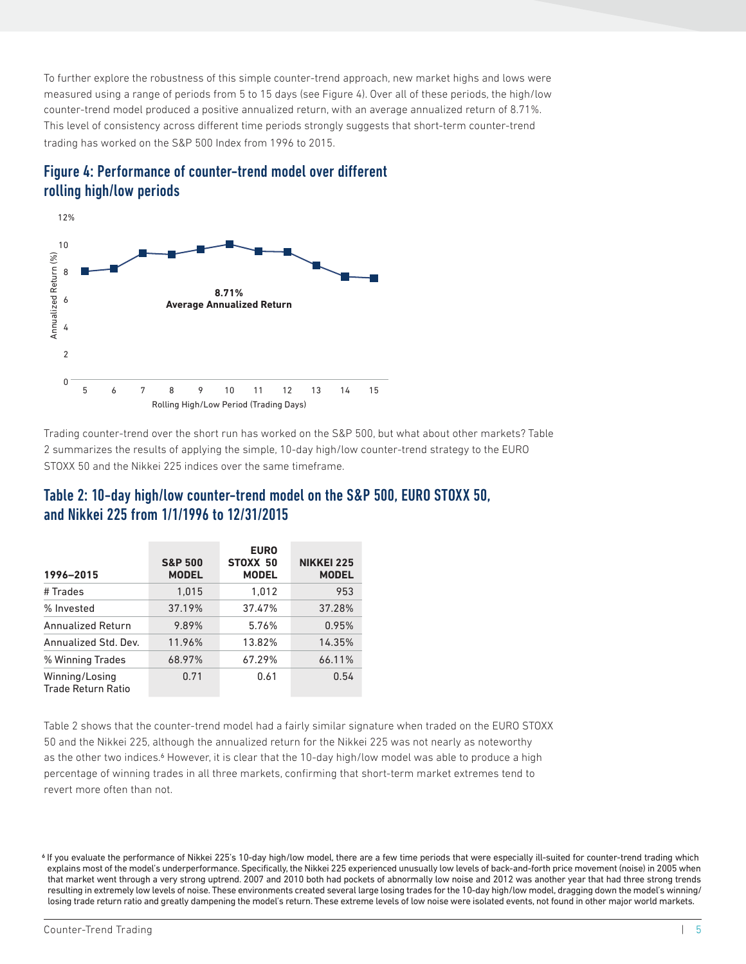To further explore the robustness of this simple counter-trend approach, new market highs and lows were measured using a range of periods from 5 to 15 days (see Figure 4). Over all of these periods, the high/low counter-trend model produced a positive annualized return, with an average annualized return of 8.71%. This level of consistency across different time periods strongly suggests that short-term counter-trend trading has worked on the S&P 500 Index from 1996 to 2015.





Trading counter-trend over the short run has worked on the S&P 500, but what about other markets? Table 2 summarizes the results of applying the simple, 10-day high/low counter-trend strategy to the EURO STOXX 50 and the Nikkei 225 indices over the same timeframe.

| 1996-2015                                   | <b>S&amp;P 500</b><br><b>MODEL</b> | <b>EURO</b><br>STOXX 50<br><b>MODEL</b> | <b>NIKKEI 225</b><br><b>MODEL</b> |
|---------------------------------------------|------------------------------------|-----------------------------------------|-----------------------------------|
| # Trades                                    | 1.015                              | 1.012                                   | 953                               |
| % Invested                                  | 37.19%                             | 37.47%                                  | 37.28%                            |
| <b>Annualized Return</b>                    | 9.89%                              | 5.76%                                   | 0.95%                             |
| Annualized Std. Dev.                        | 11.96%                             | 13.82%                                  | 14.35%                            |
| % Winning Trades                            | 68.97%                             | 67.29%                                  | 66.11%                            |
| Winning/Losing<br><b>Trade Return Ratio</b> | 0.71                               | 0.61                                    | 0.54                              |

#### Table 2: 10-day high/low counter-trend model on the S&P 500, EURO STOXX 50, and Nikkei 225 from 1/1/1996 to 12/31/2015

Table 2 shows that the counter-trend model had a fairly similar signature when traded on the EURO STOXX 50 and the Nikkei 225, although the annualized return for the Nikkei 225 was not nearly as noteworthy as the other two indices.<sup>6</sup> However, it is clear that the 10-day high/low model was able to produce a high percentage of winning trades in all three markets, confirming that short-term market extremes tend to

<sup>6</sup> If you evaluate the performance of Nikkei 225's 10-day high/low model, there are a few time periods that were especially ill-suited for counter-trend trading which explains most of the model's underperformance. Specifically, the Nikkei 225 experienced unusually low levels of back-and-forth price movement (noise) in 2005 when that market went through a very strong uptrend. 2007 and 2010 both had pockets of abnormally low noise and 2012 was another year that had three strong trends resulting in extremely low levels of noise. These environments created several large losing trades for the 10-day high/low model, dragging down the model's winning/ losing trade return ratio and greatly dampening the model's return. These extreme levels of low noise were isolated events, not found in other major world markets.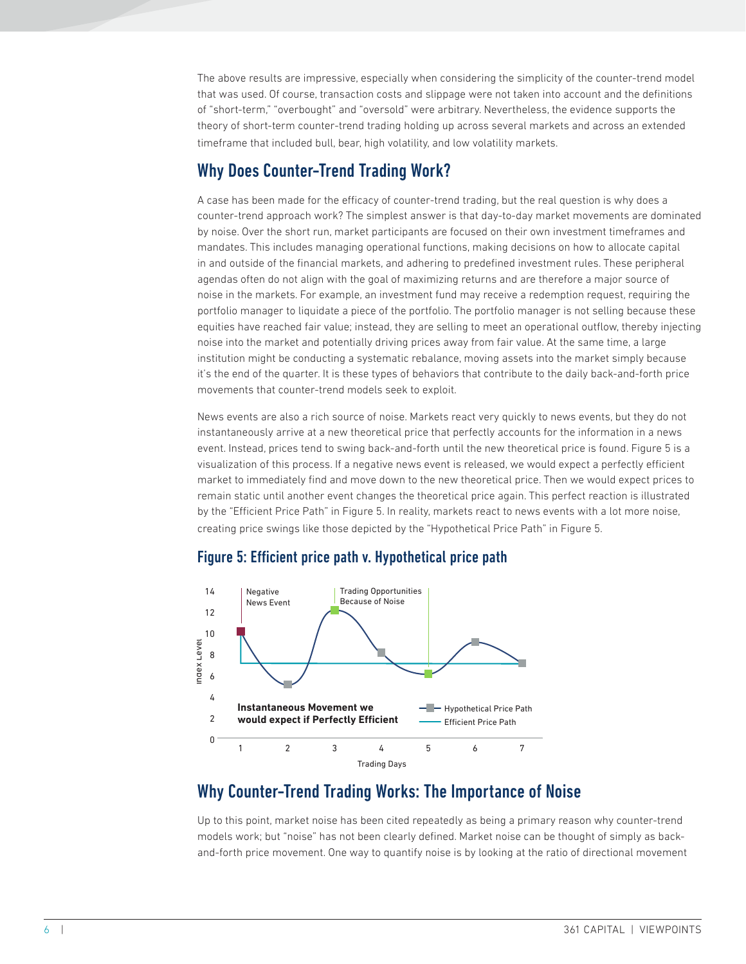The above results are impressive, especially when considering the simplicity of the counter-trend model that was used. Of course, transaction costs and slippage were not taken into account and the definitions of "short-term," "overbought" and "oversold" were arbitrary. Nevertheless, the evidence supports the theory of short-term counter-trend trading holding up across several markets and across an extended timeframe that included bull, bear, high volatility, and low volatility markets.

### Why Does Counter-Trend Trading Work?

A case has been made for the efficacy of counter-trend trading, but the real question is why does a counter-trend approach work? The simplest answer is that day-to-day market movements are dominated by noise. Over the short run, market participants are focused on their own investment timeframes and mandates. This includes managing operational functions, making decisions on how to allocate capital in and outside of the financial markets, and adhering to predefined investment rules. These peripheral agendas often do not align with the goal of maximizing returns and are therefore a major source of noise in the markets. For example, an investment fund may receive a redemption request, requiring the portfolio manager to liquidate a piece of the portfolio. The portfolio manager is not selling because these equities have reached fair value; instead, they are selling to meet an operational outflow, thereby injecting noise into the market and potentially driving prices away from fair value. At the same time, a large institution might be conducting a systematic rebalance, moving assets into the market simply because it's the end of the quarter. It is these types of behaviors that contribute to the daily back-and-forth price movements that counter-trend models seek to exploit.

News events are also a rich source of noise. Markets react very quickly to news events, but they do not instantaneously arrive at a new theoretical price that perfectly accounts for the information in a news event. Instead, prices tend to swing back-and-forth until the new theoretical price is found. Figure 5 is a visualization of this process. If a negative news event is released, we would expect a perfectly efficient market to immediately find and move down to the new theoretical price. Then we would expect prices to remain static until another event changes the theoretical price again. This perfect reaction is illustrated by the "Efficient Price Path" in Figure 5. In reality, markets react to news events with a lot more noise, creating price swings like those depicted by the "Hypothetical Price Path" in Figure 5.



#### Figure 5: Efficient price path v. Hypothetical price path

## Why Counter-Trend Trading Works: The Importance of Noise

Up to this point, market noise has been cited repeatedly as being a primary reason why counter-trend models work; but "noise" has not been clearly defined. Market noise can be thought of simply as back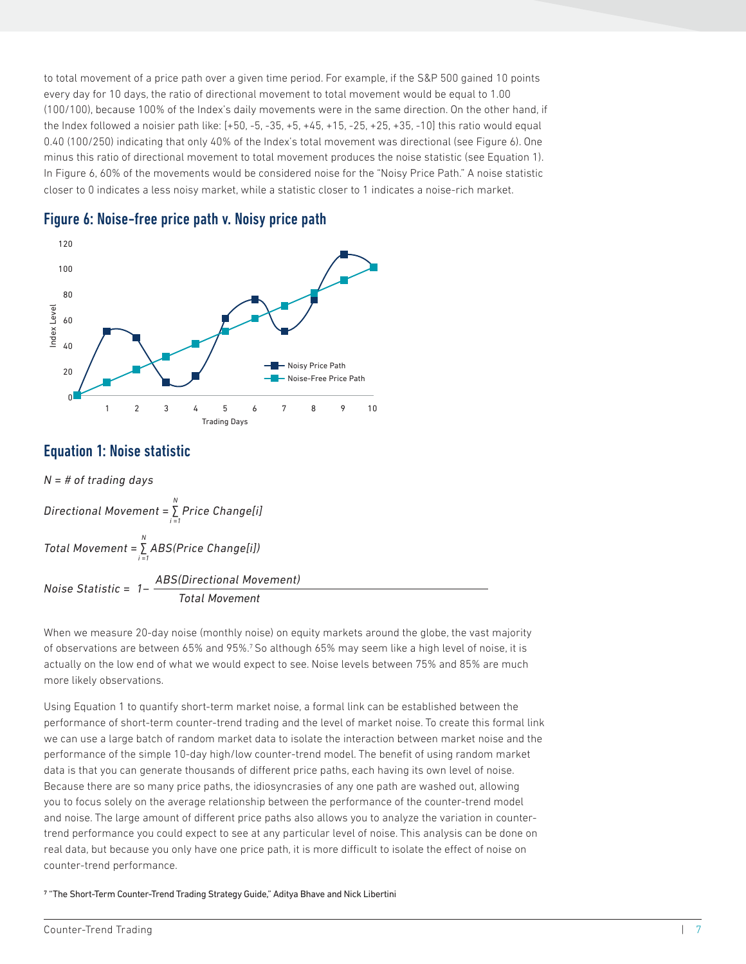to total movement of a price path over a given time period. For example, if the S&P 500 gained 10 points every day for 10 days, the ratio of directional movement to total movement would be equal to 1.00 (100/100), because 100% of the Index's daily movements were in the same direction. On the other hand, if the Index followed a noisier path like: [+50, -5, -35, +5, +45, +15, -25, +25, +35, -10] this ratio would equal 0.40 (100/250) indicating that only 40% of the Index's total movement was directional (see Figure 6). One minus this ratio of directional movement to total movement produces the noise statistic (see Equation 1). In Figure 6, 60% of the movements would be considered noise for the "Noisy Price Path." A noise statistic closer to 0 indicates a less noisy market, while a statistic closer to 1 indicates a noise-rich market.





#### Equation 1: Noise statistic



When we measure 20-day noise (monthly noise) on equity markets around the globe, the vast majority of observations are between 65% and 95%.7 So although 65% may seem like a high level of noise, it is actually on the low end of what we would expect to see. Noise levels between 75% and 85% are much more likely observations.

Using Equation 1 to quantify short-term market noise, a formal link can be established between the performance of short-term counter-trend trading and the level of market noise. To create this formal link we can use a large batch of random market data to isolate the interaction between market noise and the performance of the simple 10-day high/low counter-trend model. The benefit of using random market data is that you can generate thousands of different price paths, each having its own level of noise. Because there are so many price paths, the idiosyncrasies of any one path are washed out, allowing you to focus solely on the average relationship between the performance of the counter-trend model and noise. The large amount of different price paths also allows you to analyze the variation in countertrend performance you could expect to see at any particular level of noise. This analysis can be done on real data, but because you only have one price path, it is more difficult to isolate the effect of noise on Equation 1: Noise statis:<br>  $N = # of trading days$ <br>
Directional Movement =  $\sum_{i=1}^{N} ABS(i)$ <br>
Noise Statistic =  $1 - \frac{ABS}{\text{MSE}}$ <br>
When we measure 20-day n<br>
of observations are betweer<br>
actually on the low end of w<br>
more likely observation

7 "The Short-Term Counter-Trend Trading Strategy Guide," Aditya Bhave and Nick Libertini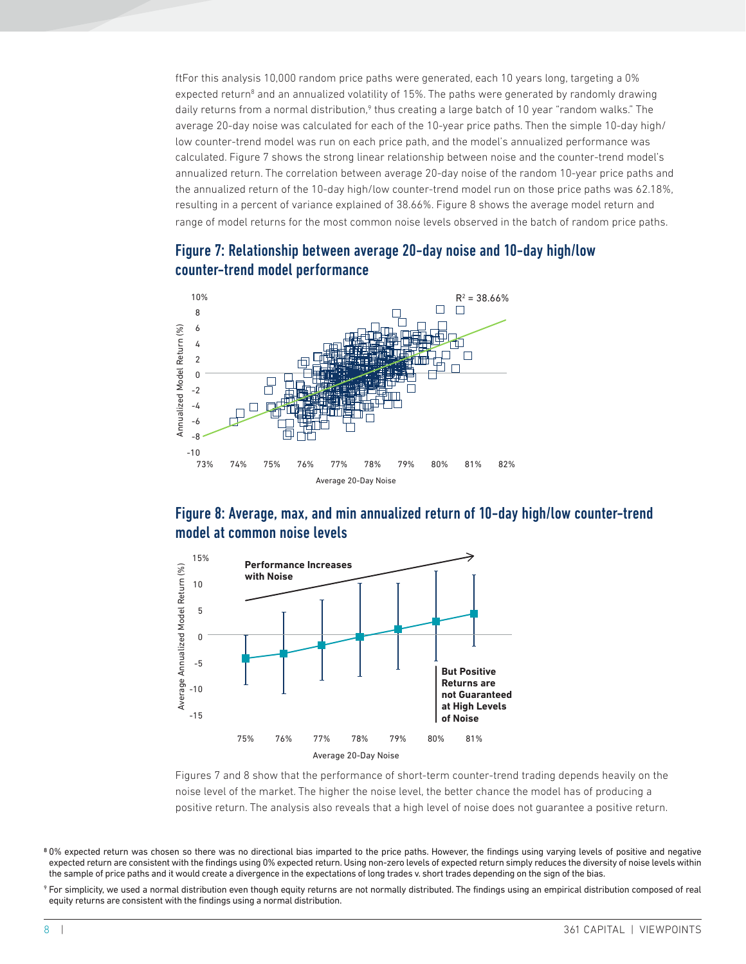ftFor this analysis 10,000 random price paths were generated, each 10 years long, targeting a 0% expected return<sup>8</sup> and an annualized volatility of 15%. The paths were generated by randomly drawing daily returns from a normal distribution,<sup>9</sup> thus creating a large batch of 10 year "random walks." The average 20-day noise was calculated for each of the 10-year price paths. Then the simple 10-day high/ low counter-trend model was run on each price path, and the model's annualized performance was calculated. Figure 7 shows the strong linear relationship between noise and the counter-trend model's annualized return. The correlation between average 20-day noise of the random 10-year price paths and the annualized return of the 10-day high/low counter-trend model run on those price paths was 62.18%, resulting in a percent of variance explained of 38.66%. Figure 8 shows the average model return and range of model returns for the most common noise levels observed in the batch of random price paths.





#### Figure 8: Average, max, and min annualized return of 10-day high/low counter-trend model at common noise levels



Figures 7 and 8 show that the performance of short-term counter-trend trading depends heavily on the noise level of the market. The higher the noise level, the better chance the model has of producing a

<sup>9</sup> For simplicity, we used a normal distribution even though equity returns are not normally distributed. The findings using an empirical distribution composed of real

<sup>&</sup>lt;sup>8</sup> 0% expected return was chosen so there was no directional bias imparted to the price paths. However, the findings using varying levels of positive and negative expected return are consistent with the findings using 0% expected return. Using non-zero levels of expected return simply reduces the diversity of noise levels within the sample of price paths and it would create a divergence in the expectations of long trades v. short trades depending on the sign of the bias.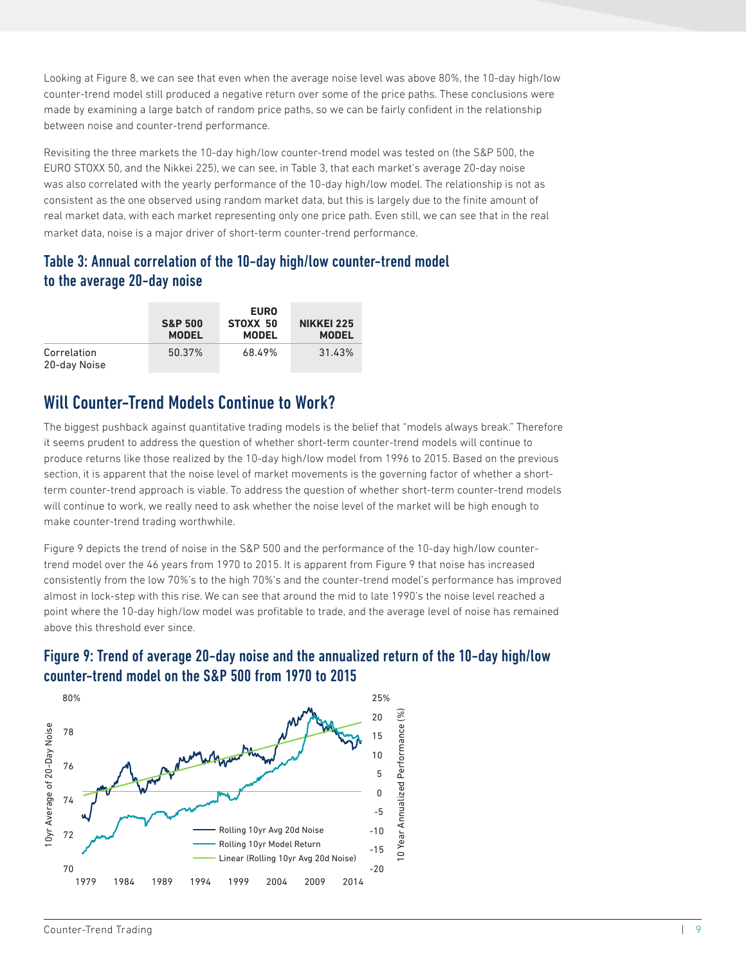Looking at Figure 8, we can see that even when the average noise level was above 80%, the 10-day high/low counter-trend model still produced a negative return over some of the price paths. These conclusions were made by examining a large batch of random price paths, so we can be fairly confident in the relationship between noise and counter-trend performance.

Revisiting the three markets the 10-day high/low counter-trend model was tested on (the S&P 500, the EURO STOXX 50, and the Nikkei 225), we can see, in Table 3, that each market's average 20-day noise was also correlated with the yearly performance of the 10-day high/low model. The relationship is not as consistent as the one observed using random market data, but this is largely due to the finite amount of real market data, with each market representing only one price path. Even still, we can see that in the real market data, noise is a major driver of short-term counter-trend performance.

#### Table 3: Annual correlation of the 10-day high/low counter-trend model to the average 20-day noise

|                             | <b>S&amp;P 500</b><br><b>MODEL</b> | <b>EURO</b><br>STOXX 50<br><b>MODEL</b> | <b>NIKKEI 225</b><br><b>MODEL</b> |
|-----------------------------|------------------------------------|-----------------------------------------|-----------------------------------|
| Correlation<br>20-day Noise | 50.37%                             | 68.49%                                  | 31.43%                            |

## Will Counter-Trend Models Continue to Work?

The biggest pushback against quantitative trading models is the belief that "models always break." Therefore it seems prudent to address the question of whether short-term counter-trend models will continue to produce returns like those realized by the 10-day high/low model from 1996 to 2015. Based on the previous section, it is apparent that the noise level of market movements is the governing factor of whether a shortterm counter-trend approach is viable. To address the question of whether short-term counter-trend models will continue to work, we really need to ask whether the noise level of the market will be high enough to make counter-trend trading worthwhile.

Figure 9 depicts the trend of noise in the S&P 500 and the performance of the 10-day high/low countertrend model over the 46 years from 1970 to 2015. It is apparent from Figure 9 that noise has increased consistently from the low 70%'s to the high 70%'s and the counter-trend model's performance has improved almost in lock-step with this rise. We can see that around the mid to late 1990's the noise level reached a point where the 10-day high/low model was profitable to trade, and the average level of noise has remained above this threshold ever since.



#### Figure 9: Trend of average 20-day noise and the annualized return of the 10-day high/low counter-trend model on the S&P 500 from 1970 to 2015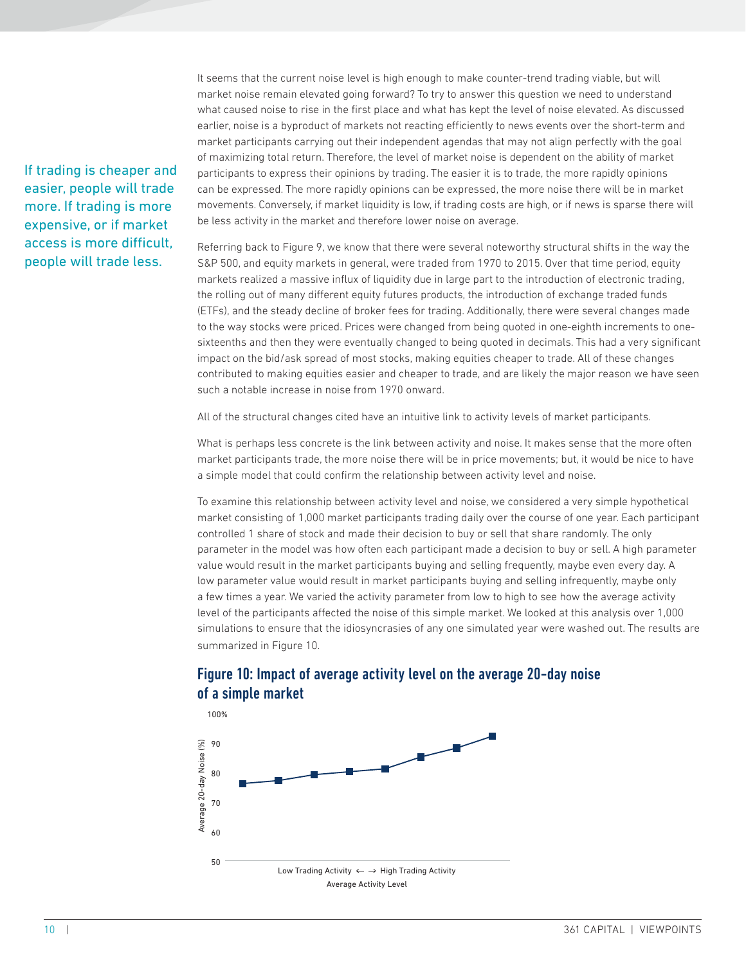If trading is cheaper and easier, people will trade more. If trading is more expensive, or if market access is more difficult, people will trade less.

It seems that the current noise level is high enough to make counter-trend trading viable, but will market noise remain elevated going forward? To try to answer this question we need to understand what caused noise to rise in the first place and what has kept the level of noise elevated. As discussed earlier, noise is a byproduct of markets not reacting efficiently to news events over the short-term and market participants carrying out their independent agendas that may not align perfectly with the goal of maximizing total return. Therefore, the level of market noise is dependent on the ability of market participants to express their opinions by trading. The easier it is to trade, the more rapidly opinions can be expressed. The more rapidly opinions can be expressed, the more noise there will be in market movements. Conversely, if market liquidity is low, if trading costs are high, or if news is sparse there will be less activity in the market and therefore lower noise on average.

Referring back to Figure 9, we know that there were several noteworthy structural shifts in the way the S&P 500, and equity markets in general, were traded from 1970 to 2015. Over that time period, equity markets realized a massive influx of liquidity due in large part to the introduction of electronic trading, the rolling out of many different equity futures products, the introduction of exchange traded funds (ETFs), and the steady decline of broker fees for trading. Additionally, there were several changes made to the way stocks were priced. Prices were changed from being quoted in one-eighth increments to onesixteenths and then they were eventually changed to being quoted in decimals. This had a very significant impact on the bid/ask spread of most stocks, making equities cheaper to trade. All of these changes contributed to making equities easier and cheaper to trade, and are likely the major reason we have seen such a notable increase in noise from 1970 onward.

All of the structural changes cited have an intuitive link to activity levels of market participants.

What is perhaps less concrete is the link between activity and noise. It makes sense that the more often market participants trade, the more noise there will be in price movements; but, it would be nice to have a simple model that could confirm the relationship between activity level and noise.

To examine this relationship between activity level and noise, we considered a very simple hypothetical market consisting of 1,000 market participants trading daily over the course of one year. Each participant controlled 1 share of stock and made their decision to buy or sell that share randomly. The only parameter in the model was how often each participant made a decision to buy or sell. A high parameter value would result in the market participants buying and selling frequently, maybe even every day. A low parameter value would result in market participants buying and selling infrequently, maybe only a few times a year. We varied the activity parameter from low to high to see how the average activity level of the participants affected the noise of this simple market. We looked at this analysis over 1,000 simulations to ensure that the idiosyncrasies of any one simulated year were washed out. The results are summarized in Figure 10.



#### Figure 10: Impact of average activity level on the average 20-day noise of a simple market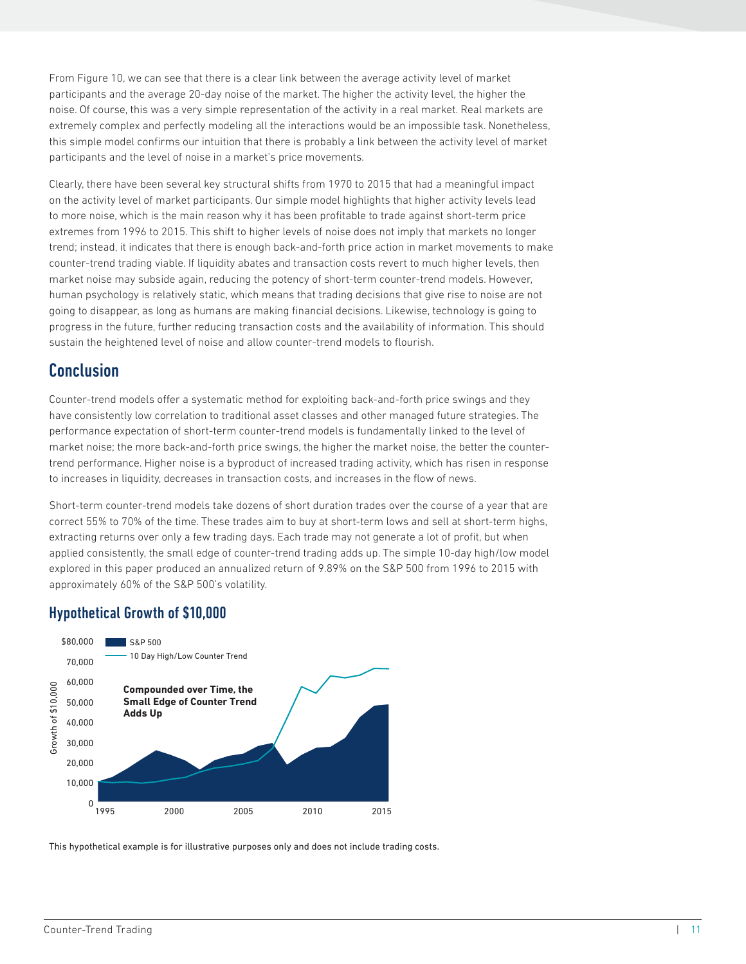From Figure 10, we can see that there is a clear link between the average activity level of market participants and the average 20-day noise of the market. The higher the activity level, the higher the noise. Of course, this was a very simple representation of the activity in a real market. Real markets are extremely complex and perfectly modeling all the interactions would be an impossible task. Nonetheless, this simple model confirms our intuition that there is probably a link between the activity level of market participants and the level of noise in a market's price movements.

Clearly, there have been several key structural shifts from 1970 to 2015 that had a meaningful impact on the activity level of market participants. Our simple model highlights that higher activity levels lead to more noise, which is the main reason why it has been profitable to trade against short-term price extremes from 1996 to 2015. This shift to higher levels of noise does not imply that markets no longer trend; instead, it indicates that there is enough back-and-forth price action in market movements to make counter-trend trading viable. If liquidity abates and transaction costs revert to much higher levels, then market noise may subside again, reducing the potency of short-term counter-trend models. However, human psychology is relatively static, which means that trading decisions that give rise to noise are not going to disappear, as long as humans are making financial decisions. Likewise, technology is going to progress in the future, further reducing transaction costs and the availability of information. This should sustain the heightened level of noise and allow counter-trend models to flourish.

#### Conclusion

Counter-trend models offer a systematic method for exploiting back-and-forth price swings and they have consistently low correlation to traditional asset classes and other managed future strategies. The performance expectation of short-term counter-trend models is fundamentally linked to the level of market noise; the more back-and-forth price swings, the higher the market noise, the better the countertrend performance. Higher noise is a byproduct of increased trading activity, which has risen in response to increases in liquidity, decreases in transaction costs, and increases in the flow of news.

Short-term counter-trend models take dozens of short duration trades over the course of a year that are correct 55% to 70% of the time. These trades aim to buy at short-term lows and sell at short-term highs, extracting returns over only a few trading days. Each trade may not generate a lot of profit, but when applied consistently, the small edge of counter-trend trading adds up. The simple 10-day high/low model explored in this paper produced an annualized return of 9.89% on the S&P 500 from 1996 to 2015 with approximately 60% of the S&P 500's volatility.

#### Hypothetical Growth of \$10,000